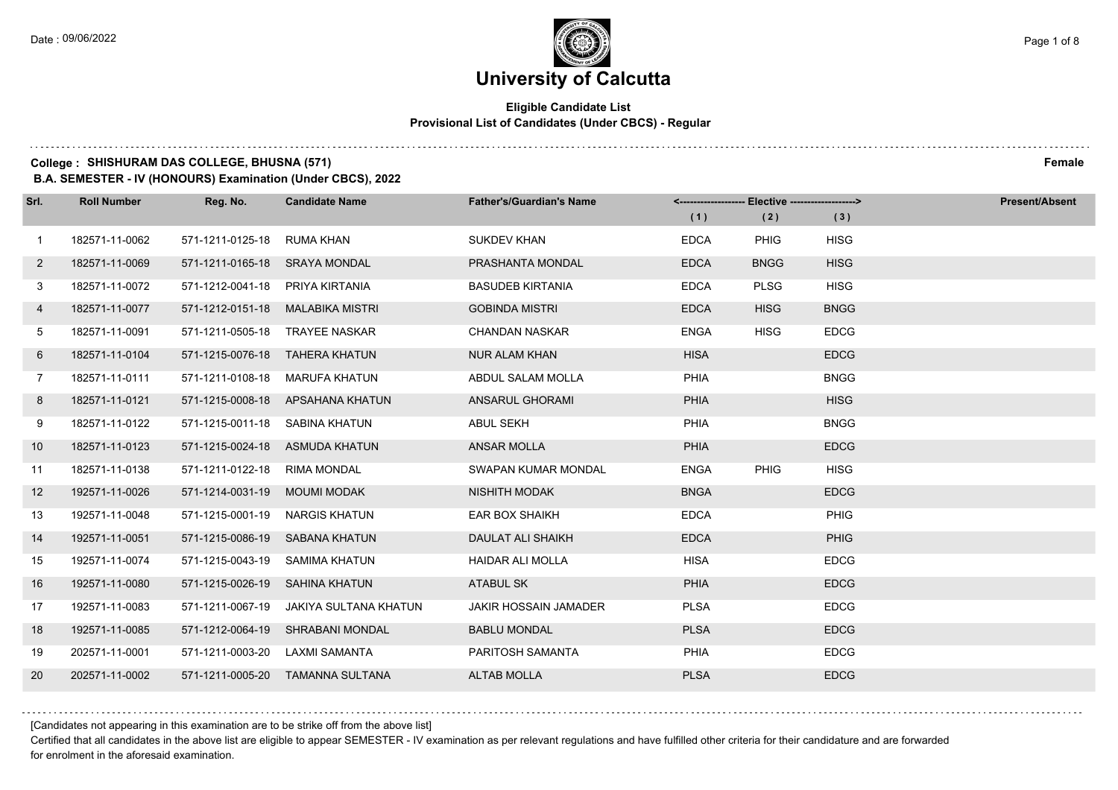# **University of Calcutta**

#### **Eligible Candidate List Provisional List of Candidates (Under CBCS) - Regular**

### **College : SHISHURAM DAS COLLEGE, BHUSNA (571) Female**

**B.A. SEMESTER - IV (HONOURS) Examination (Under CBCS), 2022**

| Srl.         | <b>Roll Number</b> | Reg. No.                      | <b>Candidate Name</b>            | <b>Father's/Guardian's Name</b> |             | <------------------- Elective ------------------> |             | <b>Present/Absent</b> |
|--------------|--------------------|-------------------------------|----------------------------------|---------------------------------|-------------|---------------------------------------------------|-------------|-----------------------|
|              |                    |                               |                                  |                                 | (1)         | (2)                                               | (3)         |                       |
| $\mathbf{1}$ | 182571-11-0062     | 571-1211-0125-18              | RUMA KHAN                        | <b>SUKDEV KHAN</b>              | <b>EDCA</b> | <b>PHIG</b>                                       | <b>HISG</b> |                       |
| $\mathbf{2}$ | 182571-11-0069     | 571-1211-0165-18 SRAYA MONDAL |                                  | PRASHANTA MONDAL                | <b>EDCA</b> | <b>BNGG</b>                                       | <b>HISG</b> |                       |
| 3            | 182571-11-0072     | 571-1212-0041-18              | PRIYA KIRTANIA                   | <b>BASUDEB KIRTANIA</b>         | <b>EDCA</b> | <b>PLSG</b>                                       | <b>HISG</b> |                       |
| 4            | 182571-11-0077     | 571-1212-0151-18              | MALABIKA MISTRI                  | <b>GOBINDA MISTRI</b>           | <b>EDCA</b> | <b>HISG</b>                                       | <b>BNGG</b> |                       |
| 5            | 182571-11-0091     | 571-1211-0505-18              | <b>TRAYEE NASKAR</b>             | <b>CHANDAN NASKAR</b>           | <b>ENGA</b> | <b>HISG</b>                                       | <b>EDCG</b> |                       |
| 6            | 182571-11-0104     |                               | 571-1215-0076-18 TAHERA KHATUN   | <b>NUR ALAM KHAN</b>            | <b>HISA</b> |                                                   | <b>EDCG</b> |                       |
| $7^{\circ}$  | 182571-11-0111     | 571-1211-0108-18              | MARUFA KHATUN                    | ABDUL SALAM MOLLA               | <b>PHIA</b> |                                                   | <b>BNGG</b> |                       |
| 8            | 182571-11-0121     | 571-1215-0008-18              | APSAHANA KHATUN                  | ANSARUL GHORAMI                 | PHIA        |                                                   | <b>HISG</b> |                       |
| 9            | 182571-11-0122     | 571-1215-0011-18              | SABINA KHATUN                    | <b>ABUL SEKH</b>                | PHIA        |                                                   | <b>BNGG</b> |                       |
| 10           | 182571-11-0123     | 571-1215-0024-18              | ASMUDA KHATUN                    | <b>ANSAR MOLLA</b>              | PHIA        |                                                   | <b>EDCG</b> |                       |
| 11           | 182571-11-0138     | 571-1211-0122-18              | <b>RIMA MONDAL</b>               | SWAPAN KUMAR MONDAL             | <b>ENGA</b> | PHIG                                              | <b>HISG</b> |                       |
| 12           | 192571-11-0026     | 571-1214-0031-19              | <b>MOUMI MODAK</b>               | <b>NISHITH MODAK</b>            | <b>BNGA</b> |                                                   | <b>EDCG</b> |                       |
| 13           | 192571-11-0048     | 571-1215-0001-19              | <b>NARGIS KHATUN</b>             | <b>EAR BOX SHAIKH</b>           | <b>EDCA</b> |                                                   | PHIG        |                       |
| 14           | 192571-11-0051     | 571-1215-0086-19              | <b>SABANA KHATUN</b>             | DAULAT ALI SHAIKH               | <b>EDCA</b> |                                                   | PHIG        |                       |
| 15           | 192571-11-0074     | 571-1215-0043-19              | SAMIMA KHATUN                    | <b>HAIDAR ALI MOLLA</b>         | <b>HISA</b> |                                                   | <b>EDCG</b> |                       |
| 16           | 192571-11-0080     | 571-1215-0026-19              | <b>SAHINA KHATUN</b>             | <b>ATABUL SK</b>                | <b>PHIA</b> |                                                   | <b>EDCG</b> |                       |
| 17           | 192571-11-0083     | 571-1211-0067-19              | JAKIYA SULTANA KHATUN            | JAKIR HOSSAIN JAMADER           | <b>PLSA</b> |                                                   | <b>EDCG</b> |                       |
| 18           | 192571-11-0085     |                               | 571-1212-0064-19 SHRABANI MONDAL | <b>BABLU MONDAL</b>             | <b>PLSA</b> |                                                   | <b>EDCG</b> |                       |
| 19           | 202571-11-0001     | 571-1211-0003-20              | LAXMI SAMANTA                    | PARITOSH SAMANTA                | <b>PHIA</b> |                                                   | <b>EDCG</b> |                       |
| 20           | 202571-11-0002     | 571-1211-0005-20              | TAMANNA SULTANA                  | <b>ALTAB MOLLA</b>              | <b>PLSA</b> |                                                   | <b>EDCG</b> |                       |

[Candidates not appearing in this examination are to be strike off from the above list]

Certified that all candidates in the above list are eligible to appear SEMESTER - IV examination as per relevant regulations and have fulfilled other criteria for their candidature and are forwarded for enrolment in the aforesaid examination.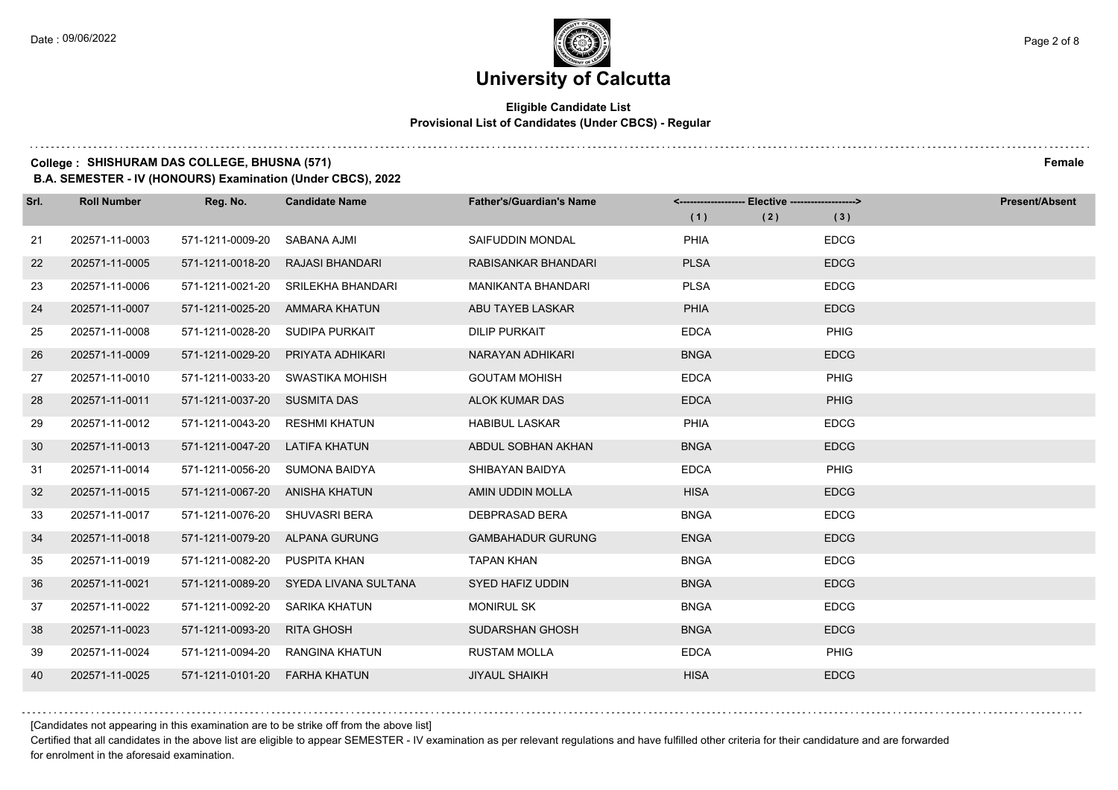# **University of Calcutta**

#### **Eligible Candidate List Provisional List of Candidates (Under CBCS) - Regular**

### **College : SHISHURAM DAS COLLEGE, BHUSNA (571) Female**

**B.A. SEMESTER - IV (HONOURS) Examination (Under CBCS), 2022**

| Srl. | <b>Roll Number</b> | Reg. No.         | <b>Candidate Name</b>  | <b>Father's/Guardian's Name</b> | <------------------- Elective ------------------> |     | <b>Present/Absent</b> |
|------|--------------------|------------------|------------------------|---------------------------------|---------------------------------------------------|-----|-----------------------|
|      |                    |                  |                        |                                 | (1)                                               | (2) | (3)                   |
| 21   | 202571-11-0003     | 571-1211-0009-20 | SABANA AJMI            | SAIFUDDIN MONDAL                | PHIA                                              |     | <b>EDCG</b>           |
| 22   | 202571-11-0005     | 571-1211-0018-20 | <b>RAJASI BHANDARI</b> | RABISANKAR BHANDARI             | <b>PLSA</b>                                       |     | <b>EDCG</b>           |
| 23   | 202571-11-0006     | 571-1211-0021-20 | SRILEKHA BHANDARI      | <b>MANIKANTA BHANDARI</b>       | <b>PLSA</b>                                       |     | <b>EDCG</b>           |
| 24   | 202571-11-0007     | 571-1211-0025-20 | AMMARA KHATUN          | ABU TAYEB LASKAR                | PHIA                                              |     | <b>EDCG</b>           |
| 25   | 202571-11-0008     | 571-1211-0028-20 | SUDIPA PURKAIT         | <b>DILIP PURKAIT</b>            | <b>EDCA</b>                                       |     | <b>PHIG</b>           |
| 26   | 202571-11-0009     | 571-1211-0029-20 | PRIYATA ADHIKARI       | NARAYAN ADHIKARI                | <b>BNGA</b>                                       |     | <b>EDCG</b>           |
| 27   | 202571-11-0010     | 571-1211-0033-20 | SWASTIKA MOHISH        | <b>GOUTAM MOHISH</b>            | <b>EDCA</b>                                       |     | PHIG                  |
| 28   | 202571-11-0011     | 571-1211-0037-20 | <b>SUSMITA DAS</b>     | ALOK KUMAR DAS                  | <b>EDCA</b>                                       |     | PHIG                  |
| 29   | 202571-11-0012     | 571-1211-0043-20 | <b>RESHMI KHATUN</b>   | <b>HABIBUL LASKAR</b>           | <b>PHIA</b>                                       |     | <b>EDCG</b>           |
| 30   | 202571-11-0013     | 571-1211-0047-20 | <b>LATIFA KHATUN</b>   | ABDUL SOBHAN AKHAN              | <b>BNGA</b>                                       |     | <b>EDCG</b>           |
| 31   | 202571-11-0014     | 571-1211-0056-20 | <b>SUMONA BAIDYA</b>   | SHIBAYAN BAIDYA                 | <b>EDCA</b>                                       |     | PHIG                  |
| 32   | 202571-11-0015     | 571-1211-0067-20 | ANISHA KHATUN          | AMIN UDDIN MOLLA                | <b>HISA</b>                                       |     | <b>EDCG</b>           |
| 33   | 202571-11-0017     | 571-1211-0076-20 | <b>SHUVASRI BERA</b>   | <b>DEBPRASAD BERA</b>           | <b>BNGA</b>                                       |     | <b>EDCG</b>           |
| 34   | 202571-11-0018     | 571-1211-0079-20 | ALPANA GURUNG          | <b>GAMBAHADUR GURUNG</b>        | <b>ENGA</b>                                       |     | <b>EDCG</b>           |
| 35   | 202571-11-0019     | 571-1211-0082-20 | PUSPITA KHAN           | <b>TAPAN KHAN</b>               | <b>BNGA</b>                                       |     | <b>EDCG</b>           |
| 36   | 202571-11-0021     | 571-1211-0089-20 | SYEDA LIVANA SULTANA   | SYED HAFIZ UDDIN                | <b>BNGA</b>                                       |     | <b>EDCG</b>           |
| 37   | 202571-11-0022     | 571-1211-0092-20 | SARIKA KHATUN          | <b>MONIRUL SK</b>               | <b>BNGA</b>                                       |     | <b>EDCG</b>           |
| 38   | 202571-11-0023     | 571-1211-0093-20 | <b>RITA GHOSH</b>      | SUDARSHAN GHOSH                 | <b>BNGA</b>                                       |     | <b>EDCG</b>           |
| 39   | 202571-11-0024     | 571-1211-0094-20 | RANGINA KHATUN         | <b>RUSTAM MOLLA</b>             | <b>EDCA</b>                                       |     | <b>PHIG</b>           |
| 40   | 202571-11-0025     | 571-1211-0101-20 | FARHA KHATUN           | <b>JIYAUL SHAIKH</b>            | <b>HISA</b>                                       |     | <b>EDCG</b>           |

[Candidates not appearing in this examination are to be strike off from the above list]

Certified that all candidates in the above list are eligible to appear SEMESTER - IV examination as per relevant regulations and have fulfilled other criteria for their candidature and are forwarded for enrolment in the aforesaid examination.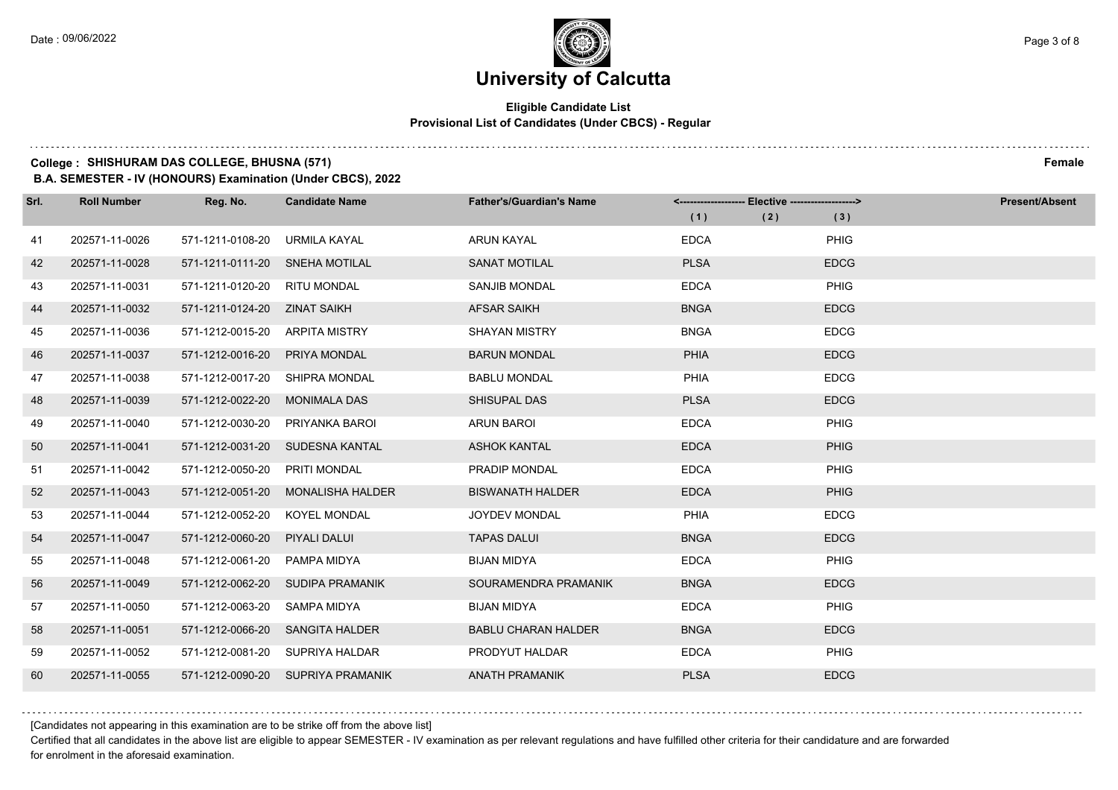#### **Eligible Candidate List Provisional List of Candidates (Under CBCS) - Regular**

### **College : SHISHURAM DAS COLLEGE, BHUSNA (571) Female**

**B.A. SEMESTER - IV (HONOURS) Examination (Under CBCS), 2022**

| Srl. | <b>Roll Number</b> | Reg. No.                       | <b>Candidate Name</b>             | <b>Father's/Guardian's Name</b> |             |             | <b>Present/Absent</b> |
|------|--------------------|--------------------------------|-----------------------------------|---------------------------------|-------------|-------------|-----------------------|
|      |                    |                                |                                   |                                 | (1)         | (2)<br>(3)  |                       |
| 41   | 202571-11-0026     | 571-1211-0108-20               | URMILA KAYAL                      | <b>ARUN KAYAL</b>               | <b>EDCA</b> | PHIG        |                       |
| 42   | 202571-11-0028     | 571-1211-0111-20 SNEHA MOTILAL |                                   | <b>SANAT MOTILAL</b>            | <b>PLSA</b> | <b>EDCG</b> |                       |
| 43   | 202571-11-0031     | 571-1211-0120-20 RITU MONDAL   |                                   | <b>SANJIB MONDAL</b>            | <b>EDCA</b> | PHIG        |                       |
| 44   | 202571-11-0032     | 571-1211-0124-20 ZINAT SAIKH   |                                   | <b>AFSAR SAIKH</b>              | <b>BNGA</b> | <b>EDCG</b> |                       |
| 45   | 202571-11-0036     | 571-1212-0015-20               | <b>ARPITA MISTRY</b>              | <b>SHAYAN MISTRY</b>            | <b>BNGA</b> | <b>EDCG</b> |                       |
| 46   | 202571-11-0037     | 571-1212-0016-20               | PRIYA MONDAL                      | <b>BARUN MONDAL</b>             | PHIA        | <b>EDCG</b> |                       |
| 47   | 202571-11-0038     | 571-1212-0017-20               | SHIPRA MONDAL                     | <b>BABLU MONDAL</b>             | PHIA        | <b>EDCG</b> |                       |
| 48   | 202571-11-0039     | 571-1212-0022-20               | <b>MONIMALA DAS</b>               | SHISUPAL DAS                    | <b>PLSA</b> | <b>EDCG</b> |                       |
| 49   | 202571-11-0040     | 571-1212-0030-20               | PRIYANKA BAROI                    | <b>ARUN BAROI</b>               | <b>EDCA</b> | PHIG        |                       |
| 50   | 202571-11-0041     | 571-1212-0031-20               | SUDESNA KANTAL                    | <b>ASHOK KANTAL</b>             | <b>EDCA</b> | PHIG        |                       |
| 51   | 202571-11-0042     | 571-1212-0050-20               | PRITI MONDAL                      | PRADIP MONDAL                   | <b>EDCA</b> | PHIG        |                       |
| 52   | 202571-11-0043     | 571-1212-0051-20               | <b>MONALISHA HALDER</b>           | <b>BISWANATH HALDER</b>         | <b>EDCA</b> | <b>PHIG</b> |                       |
| 53   | 202571-11-0044     | 571-1212-0052-20               | <b>KOYEL MONDAL</b>               | <b>JOYDEV MONDAL</b>            | PHIA        | <b>EDCG</b> |                       |
| 54   | 202571-11-0047     | 571-1212-0060-20               | PIYALI DALUI                      | <b>TAPAS DALUI</b>              | <b>BNGA</b> | <b>EDCG</b> |                       |
| 55   | 202571-11-0048     | 571-1212-0061-20               | PAMPA MIDYA                       | <b>BIJAN MIDYA</b>              | <b>EDCA</b> | PHIG        |                       |
| 56   | 202571-11-0049     | 571-1212-0062-20               | SUDIPA PRAMANIK                   | SOURAMENDRA PRAMANIK            | <b>BNGA</b> | <b>EDCG</b> |                       |
| 57   | 202571-11-0050     | 571-1212-0063-20               | <b>SAMPA MIDYA</b>                | <b>BIJAN MIDYA</b>              | <b>EDCA</b> | PHIG        |                       |
| 58   | 202571-11-0051     | 571-1212-0066-20               | <b>SANGITA HALDER</b>             | <b>BABLU CHARAN HALDER</b>      | <b>BNGA</b> | <b>EDCG</b> |                       |
| 59   | 202571-11-0052     |                                | 571-1212-0081-20 SUPRIYA HALDAR   | PRODYUT HALDAR                  | <b>EDCA</b> | PHIG        |                       |
| 60   | 202571-11-0055     |                                | 571-1212-0090-20 SUPRIYA PRAMANIK | <b>ANATH PRAMANIK</b>           | <b>PLSA</b> | <b>EDCG</b> |                       |

[Candidates not appearing in this examination are to be strike off from the above list]

Certified that all candidates in the above list are eligible to appear SEMESTER - IV examination as per relevant regulations and have fulfilled other criteria for their candidature and are forwarded for enrolment in the aforesaid examination.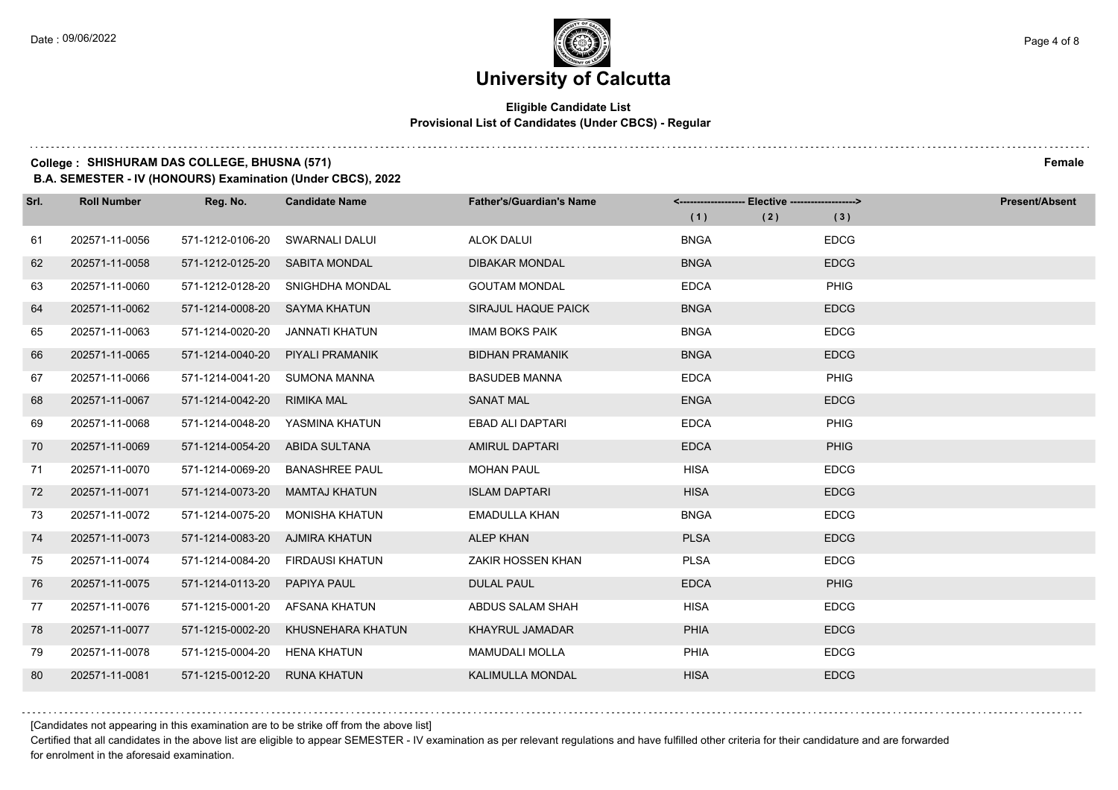# **University of Calcutta**

#### **Eligible Candidate List Provisional List of Candidates (Under CBCS) - Regular**

### **College : SHISHURAM DAS COLLEGE, BHUSNA (571) Female**

**B.A. SEMESTER - IV (HONOURS) Examination (Under CBCS), 2022**

| Srl. | <b>Roll Number</b> | Reg. No.                       | <b>Candidate Name</b>  | <b>Father's/Guardian's Name</b> |             | - Elective -------------------> | <b>Present/Absent</b> |
|------|--------------------|--------------------------------|------------------------|---------------------------------|-------------|---------------------------------|-----------------------|
|      |                    |                                |                        |                                 | (1)<br>(2)  | (3)                             |                       |
| 61   | 202571-11-0056     | 571-1212-0106-20               | SWARNALI DALUI         | <b>ALOK DALUI</b>               | <b>BNGA</b> | <b>EDCG</b>                     |                       |
| 62   | 202571-11-0058     | 571-1212-0125-20 SABITA MONDAL |                        | <b>DIBAKAR MONDAL</b>           | <b>BNGA</b> | <b>EDCG</b>                     |                       |
| 63   | 202571-11-0060     | 571-1212-0128-20               | SNIGHDHA MONDAL        | <b>GOUTAM MONDAL</b>            | <b>EDCA</b> | PHIG                            |                       |
| 64   | 202571-11-0062     | 571-1214-0008-20               | SAYMA KHATUN           | SIRAJUL HAQUE PAICK             | <b>BNGA</b> | <b>EDCG</b>                     |                       |
| 65   | 202571-11-0063     | 571-1214-0020-20               | <b>JANNATI KHATUN</b>  | <b>IMAM BOKS PAIK</b>           | <b>BNGA</b> | <b>EDCG</b>                     |                       |
| 66   | 202571-11-0065     | 571-1214-0040-20               | PIYALI PRAMANIK        | <b>BIDHAN PRAMANIK</b>          | <b>BNGA</b> | <b>EDCG</b>                     |                       |
| 67   | 202571-11-0066     | 571-1214-0041-20               | <b>SUMONA MANNA</b>    | <b>BASUDEB MANNA</b>            | <b>EDCA</b> | PHIG                            |                       |
| 68   | 202571-11-0067     | 571-1214-0042-20               | <b>RIMIKA MAL</b>      | <b>SANAT MAL</b>                | <b>ENGA</b> | <b>EDCG</b>                     |                       |
| 69   | 202571-11-0068     | 571-1214-0048-20               | YASMINA KHATUN         | EBAD ALI DAPTARI                | <b>EDCA</b> | PHIG                            |                       |
| 70   | 202571-11-0069     | 571-1214-0054-20               | ABIDA SULTANA          | <b>AMIRUL DAPTARI</b>           | <b>EDCA</b> | <b>PHIG</b>                     |                       |
| 71   | 202571-11-0070     | 571-1214-0069-20               | <b>BANASHREE PAUL</b>  | <b>MOHAN PAUL</b>               | <b>HISA</b> | <b>EDCG</b>                     |                       |
| 72   | 202571-11-0071     | 571-1214-0073-20               | <b>MAMTAJ KHATUN</b>   | <b>ISLAM DAPTARI</b>            | <b>HISA</b> | <b>EDCG</b>                     |                       |
| 73   | 202571-11-0072     | 571-1214-0075-20               | <b>MONISHA KHATUN</b>  | <b>EMADULLA KHAN</b>            | <b>BNGA</b> | <b>EDCG</b>                     |                       |
| 74   | 202571-11-0073     | 571-1214-0083-20               | AJMIRA KHATUN          | <b>ALEP KHAN</b>                | <b>PLSA</b> | <b>EDCG</b>                     |                       |
| 75   | 202571-11-0074     | 571-1214-0084-20               | <b>FIRDAUSI KHATUN</b> | ZAKIR HOSSEN KHAN               | <b>PLSA</b> | <b>EDCG</b>                     |                       |
| 76   | 202571-11-0075     | 571-1214-0113-20               | PAPIYA PAUL            | <b>DULAL PAUL</b>               | <b>EDCA</b> | <b>PHIG</b>                     |                       |
| 77   | 202571-11-0076     | 571-1215-0001-20               | AFSANA KHATUN          | ABDUS SALAM SHAH                | <b>HISA</b> | <b>EDCG</b>                     |                       |
| 78   | 202571-11-0077     | 571-1215-0002-20               | KHUSNEHARA KHATUN      | <b>KHAYRUL JAMADAR</b>          | PHIA        | <b>EDCG</b>                     |                       |
| 79   | 202571-11-0078     | 571-1215-0004-20               | HENA KHATUN            | <b>MAMUDALI MOLLA</b>           | <b>PHIA</b> | <b>EDCG</b>                     |                       |
| 80   | 202571-11-0081     | 571-1215-0012-20               | <b>RUNA KHATUN</b>     | <b>KALIMULLA MONDAL</b>         | <b>HISA</b> | <b>EDCG</b>                     |                       |

[Candidates not appearing in this examination are to be strike off from the above list]

Certified that all candidates in the above list are eligible to appear SEMESTER - IV examination as per relevant regulations and have fulfilled other criteria for their candidature and are forwarded for enrolment in the aforesaid examination.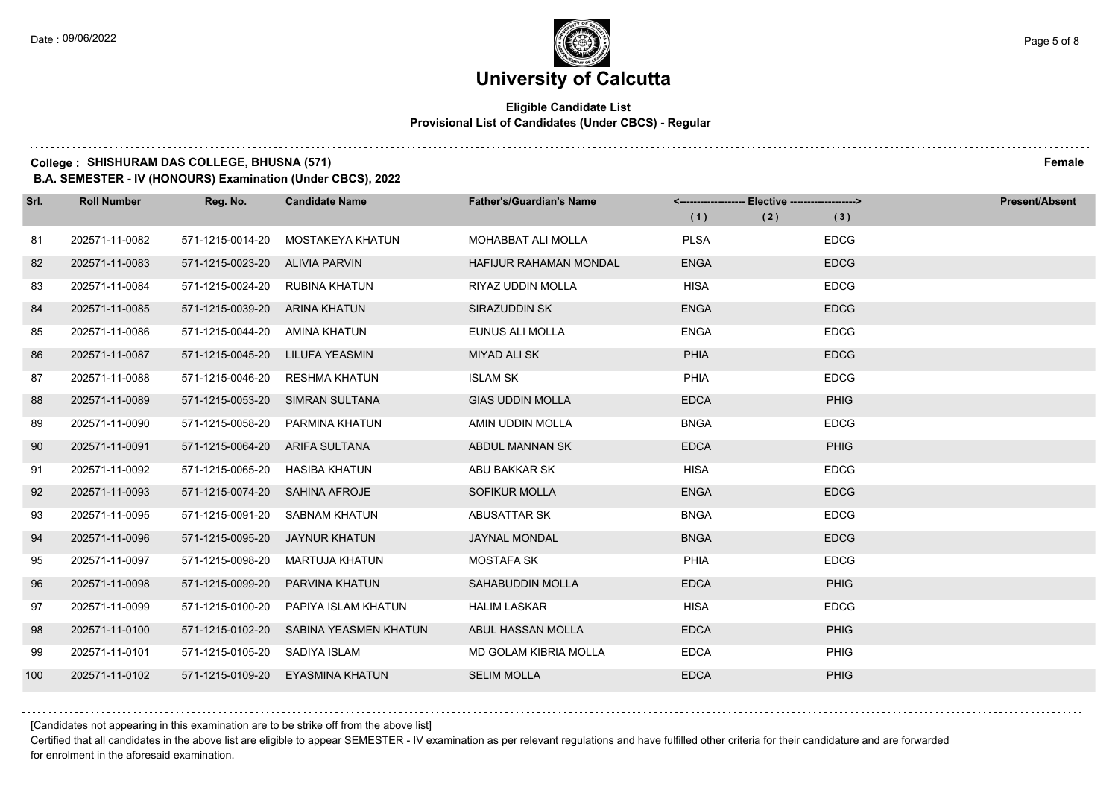# **University of Calcutta**

#### **Eligible Candidate List Provisional List of Candidates (Under CBCS) - Regular**

### **College : SHISHURAM DAS COLLEGE, BHUSNA (571) Female**

**B.A. SEMESTER - IV (HONOURS) Examination (Under CBCS), 2022**

| Srl. | <b>Roll Number</b> | Reg. No.                       | <b>Candidate Name</b> | <b>Father's/Guardian's Name</b> | <------------------- | -- Elective -------------------> | <b>Present/Absent</b> |
|------|--------------------|--------------------------------|-----------------------|---------------------------------|----------------------|----------------------------------|-----------------------|
|      |                    |                                |                       |                                 | (1)                  | (2)<br>(3)                       |                       |
| 81   | 202571-11-0082     | 571-1215-0014-20               | MOSTAKEYA KHATUN      | <b>MOHABBAT ALI MOLLA</b>       | <b>PLSA</b>          | <b>EDCG</b>                      |                       |
| 82   | 202571-11-0083     | 571-1215-0023-20 ALIVIA PARVIN |                       | <b>HAFIJUR RAHAMAN MONDAL</b>   | <b>ENGA</b>          | <b>EDCG</b>                      |                       |
| 83   | 202571-11-0084     | 571-1215-0024-20 RUBINA KHATUN |                       | RIYAZ UDDIN MOLLA               | <b>HISA</b>          | <b>EDCG</b>                      |                       |
| 84   | 202571-11-0085     | 571-1215-0039-20               | ARINA KHATUN          | SIRAZUDDIN SK                   | <b>ENGA</b>          | <b>EDCG</b>                      |                       |
| 85   | 202571-11-0086     | 571-1215-0044-20               | AMINA KHATUN          | EUNUS ALI MOLLA                 | <b>ENGA</b>          | <b>EDCG</b>                      |                       |
| 86   | 202571-11-0087     | 571-1215-0045-20               | LILUFA YEASMIN        | <b>MIYAD ALI SK</b>             | <b>PHIA</b>          | <b>EDCG</b>                      |                       |
| 87   | 202571-11-0088     | 571-1215-0046-20               | <b>RESHMA KHATUN</b>  | <b>ISLAM SK</b>                 | <b>PHIA</b>          | <b>EDCG</b>                      |                       |
| 88   | 202571-11-0089     | 571-1215-0053-20               | <b>SIMRAN SULTANA</b> | <b>GIAS UDDIN MOLLA</b>         | <b>EDCA</b>          | PHIG                             |                       |
| 89   | 202571-11-0090     | 571-1215-0058-20               | PARMINA KHATUN        | AMIN UDDIN MOLLA                | <b>BNGA</b>          | <b>EDCG</b>                      |                       |
| 90   | 202571-11-0091     | 571-1215-0064-20               | ARIFA SULTANA         | ABDUL MANNAN SK                 | <b>EDCA</b>          | PHIG                             |                       |
| 91   | 202571-11-0092     | 571-1215-0065-20               | HASIBA KHATUN         | ABU BAKKAR SK                   | <b>HISA</b>          | <b>EDCG</b>                      |                       |
| 92   | 202571-11-0093     | 571-1215-0074-20               | <b>SAHINA AFROJE</b>  | <b>SOFIKUR MOLLA</b>            | <b>ENGA</b>          | <b>EDCG</b>                      |                       |
| 93   | 202571-11-0095     | 571-1215-0091-20               | <b>SABNAM KHATUN</b>  | ABUSATTAR SK                    | <b>BNGA</b>          | <b>EDCG</b>                      |                       |
| 94   | 202571-11-0096     | 571-1215-0095-20               | <b>JAYNUR KHATUN</b>  | <b>JAYNAL MONDAL</b>            | <b>BNGA</b>          | <b>EDCG</b>                      |                       |
| 95   | 202571-11-0097     | 571-1215-0098-20               | MARTUJA KHATUN        | <b>MOSTAFA SK</b>               | PHIA                 | <b>EDCG</b>                      |                       |
| 96   | 202571-11-0098     | 571-1215-0099-20               | PARVINA KHATUN        | <b>SAHABUDDIN MOLLA</b>         | <b>EDCA</b>          | PHIG                             |                       |
| 97   | 202571-11-0099     | 571-1215-0100-20               | PAPIYA ISLAM KHATUN   | <b>HALIM LASKAR</b>             | <b>HISA</b>          | <b>EDCG</b>                      |                       |
| 98   | 202571-11-0100     | 571-1215-0102-20               | SABINA YEASMEN KHATUN | ABUL HASSAN MOLLA               | <b>EDCA</b>          | PHIG                             |                       |
| 99   | 202571-11-0101     | 571-1215-0105-20 SADIYA ISLAM  |                       | MD GOLAM KIBRIA MOLLA           | <b>EDCA</b>          | PHIG                             |                       |
| 100  | 202571-11-0102     | 571-1215-0109-20               | EYASMINA KHATUN       | <b>SELIM MOLLA</b>              | <b>EDCA</b>          | <b>PHIG</b>                      |                       |

[Candidates not appearing in this examination are to be strike off from the above list]

Certified that all candidates in the above list are eligible to appear SEMESTER - IV examination as per relevant regulations and have fulfilled other criteria for their candidature and are forwarded for enrolment in the aforesaid examination.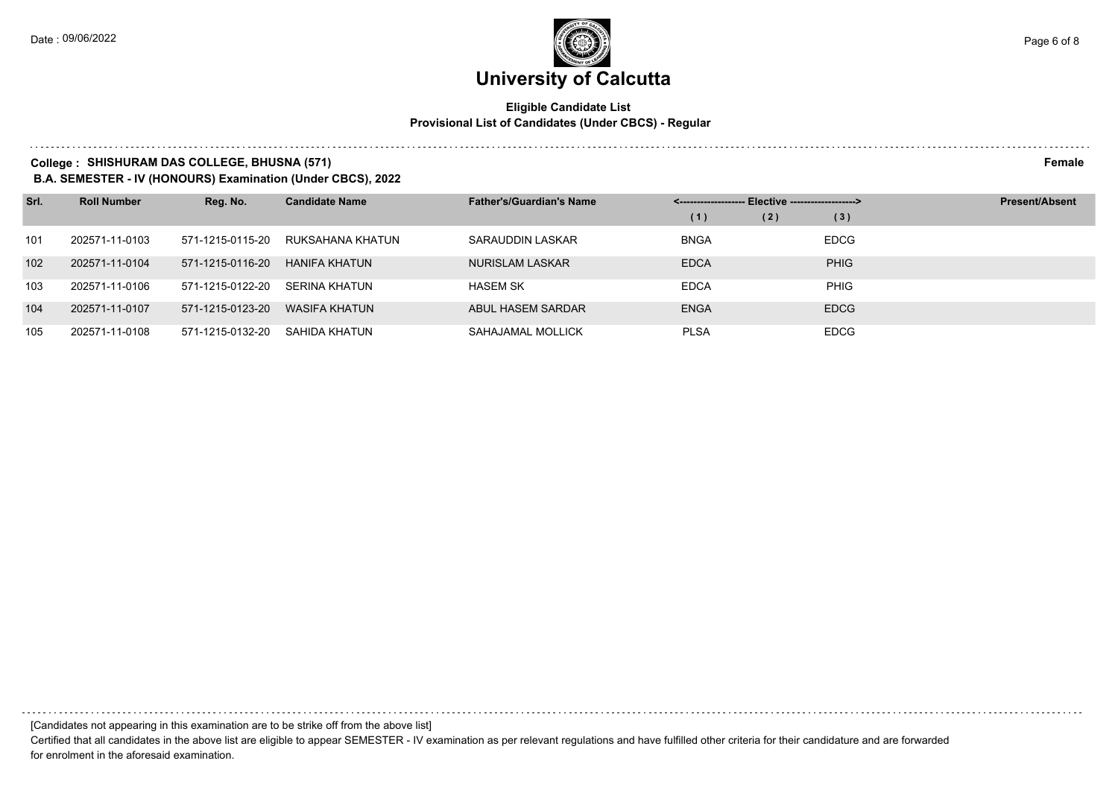#### **Eligible Candidate List Provisional List of Candidates (Under CBCS) - Regular**

#### **College : SHISHURAM DAS COLLEGE, BHUSNA (571) Female**

**B.A. SEMESTER - IV (HONOURS) Examination (Under CBCS), 2022**

| Srl. | <b>Roll Number</b> | Reg. No.         | <b>Candidate Name</b> | <b>Father's/Guardian's Name</b> | Elective -------------------> |     |             | <b>Present/Absent</b> |
|------|--------------------|------------------|-----------------------|---------------------------------|-------------------------------|-----|-------------|-----------------------|
|      |                    |                  |                       |                                 | (1)                           | (2) | (3)         |                       |
| 101  | 202571-11-0103     | 571-1215-0115-20 | RUKSAHANA KHATUN      | SARAUDDIN LASKAR                | <b>BNGA</b>                   |     | <b>EDCG</b> |                       |
| 102  | 202571-11-0104     | 571-1215-0116-20 | HANIFA KHATUN         | NURISLAM LASKAR                 | <b>EDCA</b>                   |     | <b>PHIG</b> |                       |
| 103  | 202571-11-0106     | 571-1215-0122-20 | SERINA KHATUN         | <b>HASEM SK</b>                 | <b>EDCA</b>                   |     | <b>PHIG</b> |                       |
| 104  | 202571-11-0107     | 571-1215-0123-20 | WASIFA KHATUN         | ABUL HASEM SARDAR               | <b>ENGA</b>                   |     | <b>EDCG</b> |                       |
| 105  | 202571-11-0108     | 571-1215-0132-20 | SAHIDA KHATUN         | SAHAJAMAL MOLLICK               | <b>PLSA</b>                   |     | <b>EDCG</b> |                       |

[Candidates not appearing in this examination are to be strike off from the above list]

Certified that all candidates in the above list are eligible to appear SEMESTER - IV examination as per relevant regulations and have fulfilled other criteria for their candidature and are forwarded for enrolment in the aforesaid examination.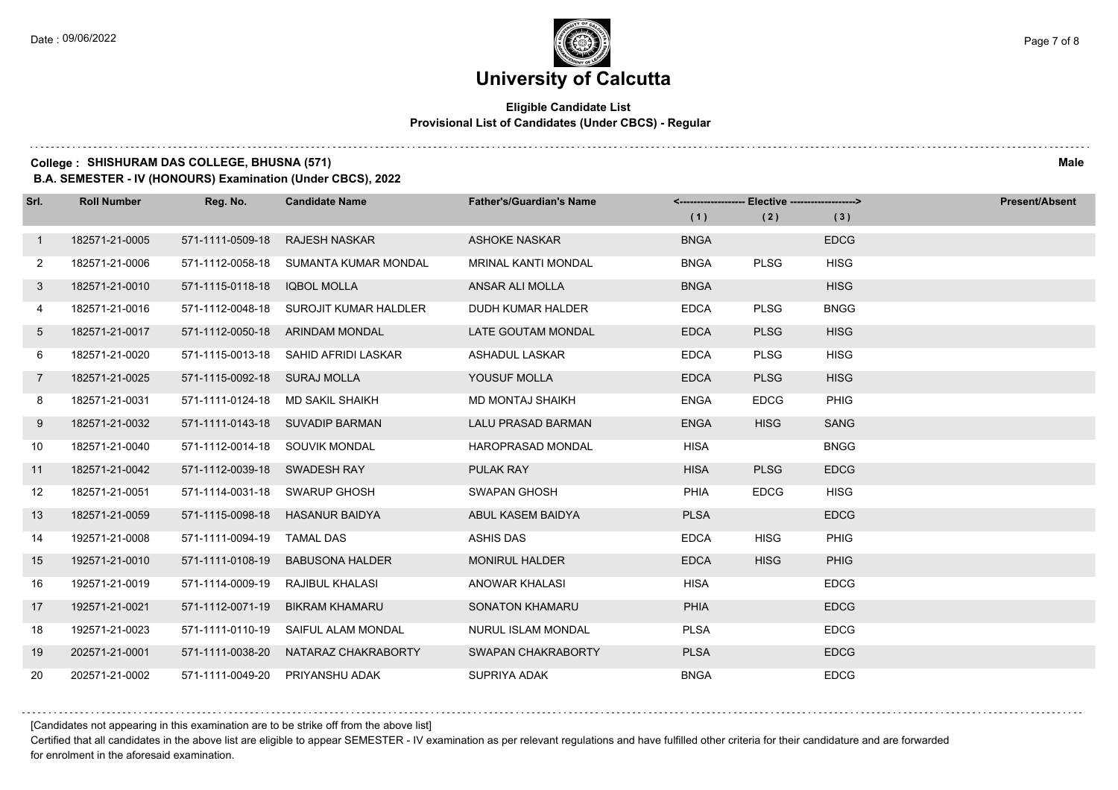#### **Eligible Candidate List Provisional List of Candidates (Under CBCS) - Regular**

#### **College : SHISHURAM DAS COLLEGE, BHUSNA (571) Male**

**B.A. SEMESTER - IV (HONOURS) Examination (Under CBCS), 2022**

| Srl.            | <b>Roll Number</b> | Reg. No.                       | <b>Candidate Name</b>                  | <b>Father's/Guardian's Name</b> |             | <------------------- Elective ------------------> |             | <b>Present/Absent</b> |
|-----------------|--------------------|--------------------------------|----------------------------------------|---------------------------------|-------------|---------------------------------------------------|-------------|-----------------------|
|                 |                    |                                |                                        |                                 | (1)         | (2)                                               | (3)         |                       |
| $\mathbf{1}$    | 182571-21-0005     | 571-1111-0509-18               | <b>RAJESH NASKAR</b>                   | <b>ASHOKE NASKAR</b>            | <b>BNGA</b> |                                                   | <b>EDCG</b> |                       |
| $\mathbf{2}$    | 182571-21-0006     |                                | 571-1112-0058-18 SUMANTA KUMAR MONDAL  | <b>MRINAL KANTI MONDAL</b>      | <b>BNGA</b> | <b>PLSG</b>                                       | <b>HISG</b> |                       |
| 3               | 182571-21-0010     | 571-1115-0118-18               | IQBOL MOLLA                            | ANSAR ALI MOLLA                 | <b>BNGA</b> |                                                   | <b>HISG</b> |                       |
| 4               | 182571-21-0016     |                                | 571-1112-0048-18 SUROJIT KUMAR HALDLER | DUDH KUMAR HALDER               | <b>EDCA</b> | <b>PLSG</b>                                       | <b>BNGG</b> |                       |
| 5               | 182571-21-0017     | 571-1112-0050-18               | ARINDAM MONDAL                         | LATE GOUTAM MONDAL              | <b>EDCA</b> | <b>PLSG</b>                                       | <b>HISG</b> |                       |
| 6               | 182571-21-0020     |                                | 571-1115-0013-18 SAHID AFRIDI LASKAR   | <b>ASHADUL LASKAR</b>           | <b>EDCA</b> | <b>PLSG</b>                                       | <b>HISG</b> |                       |
| $7\overline{ }$ | 182571-21-0025     | 571-1115-0092-18 SURAJ MOLLA   |                                        | YOUSUF MOLLA                    | <b>EDCA</b> | <b>PLSG</b>                                       | <b>HISG</b> |                       |
| 8               | 182571-21-0031     |                                | 571-1111-0124-18 MD SAKIL SHAIKH       | <b>MD MONTAJ SHAIKH</b>         | <b>ENGA</b> | <b>EDCG</b>                                       | <b>PHIG</b> |                       |
| 9               | 182571-21-0032     |                                | 571-1111-0143-18 SUVADIP BARMAN        | <b>LALU PRASAD BARMAN</b>       | <b>ENGA</b> | <b>HISG</b>                                       | <b>SANG</b> |                       |
| 10              | 182571-21-0040     | 571-1112-0014-18 SOUVIK MONDAL |                                        | <b>HAROPRASAD MONDAL</b>        | <b>HISA</b> |                                                   | <b>BNGG</b> |                       |
| 11              | 182571-21-0042     | 571-1112-0039-18 SWADESH RAY   |                                        | PULAK RAY                       | <b>HISA</b> | <b>PLSG</b>                                       | <b>EDCG</b> |                       |
| 12              | 182571-21-0051     |                                | 571-1114-0031-18 SWARUP GHOSH          | <b>SWAPAN GHOSH</b>             | <b>PHIA</b> | <b>EDCG</b>                                       | <b>HISG</b> |                       |
| 13              | 182571-21-0059     |                                | 571-1115-0098-18 HASANUR BAIDYA        | ABUL KASEM BAIDYA               | <b>PLSA</b> |                                                   | <b>EDCG</b> |                       |
| 14              | 192571-21-0008     | 571-1111-0094-19               | <b>TAMAL DAS</b>                       | <b>ASHIS DAS</b>                | <b>EDCA</b> | <b>HISG</b>                                       | <b>PHIG</b> |                       |
| 15              | 192571-21-0010     | 571-1111-0108-19               | <b>BABUSONA HALDER</b>                 | <b>MONIRUL HALDER</b>           | <b>EDCA</b> | <b>HISG</b>                                       | <b>PHIG</b> |                       |
| 16              | 192571-21-0019     | 571-1114-0009-19               | RAJIBUL KHALASI                        | ANOWAR KHALASI                  | <b>HISA</b> |                                                   | <b>EDCG</b> |                       |
| 17              | 192571-21-0021     | 571-1112-0071-19               | BIKRAM KHAMARU                         | <b>SONATON KHAMARU</b>          | <b>PHIA</b> |                                                   | <b>EDCG</b> |                       |
| 18              | 192571-21-0023     | 571-1111-0110-19               | SAIFUL ALAM MONDAL                     | NURUL ISLAM MONDAL              | <b>PLSA</b> |                                                   | <b>EDCG</b> |                       |
| 19              | 202571-21-0001     | 571-1111-0038-20               | NATARAZ CHAKRABORTY                    | SWAPAN CHAKRABORTY              | <b>PLSA</b> |                                                   | <b>EDCG</b> |                       |
| 20              | 202571-21-0002     |                                | 571-1111-0049-20 PRIYANSHU ADAK        | SUPRIYA ADAK                    | <b>BNGA</b> |                                                   | <b>EDCG</b> |                       |

[Candidates not appearing in this examination are to be strike off from the above list]

Certified that all candidates in the above list are eligible to appear SEMESTER - IV examination as per relevant regulations and have fulfilled other criteria for their candidature and are forwarded for enrolment in the aforesaid examination.